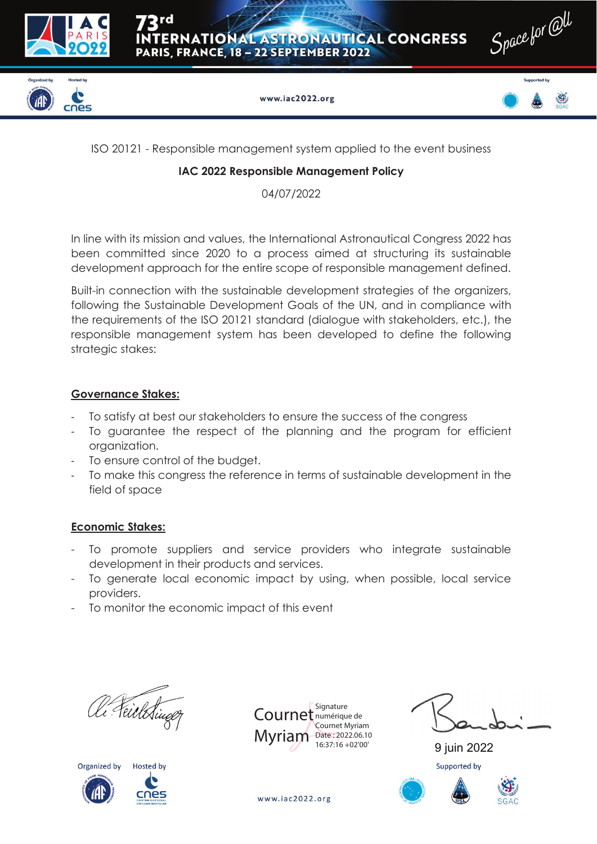





www.iac2022.org

ISO 20121 - Responsible management system applied to the event business

## **IAC 2022 Responsible Management Policy**

04/07/2022

In line with its mission and values, the International Astronautical Congress 2022 has been committed since 2020 to a process aimed at structuring its sustainable development approach for the entire scope of responsible management defined.

Built-in connection with the sustainable development strategies of the organizers, following the Sustainable Development Goals of the UN, and in compliance with the requirements of the ISO 20121 standard (dialogue with stakeholders, etc.), the responsible management system has been developed to define the following strategic stakes:

# **Governance Stakes:**

- To satisfy at best our stakeholders to ensure the success of the congress
- To guarantee the respect of the planning and the program for efficient organization.
- To ensure control of the budget.
- To make this congress the reference in terms of sustainable development in the field of space

# **Economic Stakes:**

- To promote suppliers and service providers who integrate sustainable development in their products and services.
- To generate local economic impact by using, when possible, local service providers.
- To monitor the economic impact of this event

Al Feichtin





9 juin 2022 Supported by

www.iac2022.org